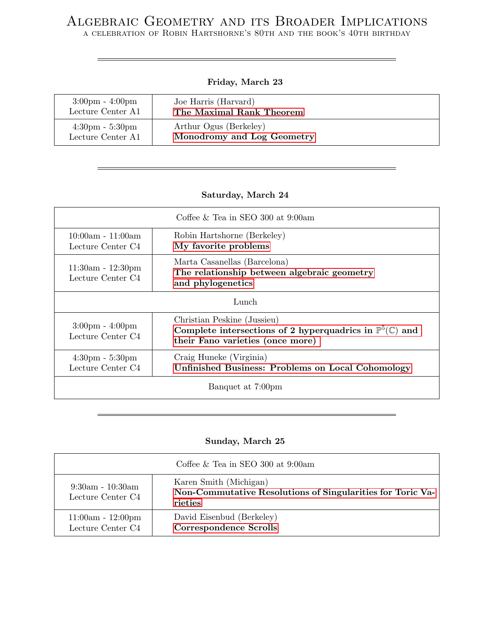# Algebraic Geometry and its Broader Implications

a celebration of Robin Hartshorne's 80th and the book's 40th birthday

## Friday, March 23

| $3:00 \text{pm} - 4:00 \text{pm}$ | Joe Harris (Harvard)       |
|-----------------------------------|----------------------------|
| Lecture Center A1                 | The Maximal Rank Theorem   |
| $4:30 \text{pm} - 5:30 \text{pm}$ | Arthur Ogus (Berkeley)     |
| Lecture Center A1                 | Monodromy and Log Geometry |

# Saturday, March 24

| Coffee $\&$ Tea in SEO 300 at 9:00am                   |                                                                                                                                                |  |
|--------------------------------------------------------|------------------------------------------------------------------------------------------------------------------------------------------------|--|
| $10:00am - 11:00am$<br>Lecture Center C4               | Robin Hartshorne (Berkeley)<br>My favorite problems                                                                                            |  |
| $11:30am - 12:30pm$<br>Lecture Center C4               | Marta Casanellas (Barcelona)<br>The relationship between algebraic geometry<br>and phylogenetics                                               |  |
| Lunch                                                  |                                                                                                                                                |  |
| $3:00 \text{pm} - 4:00 \text{pm}$<br>Lecture Center C4 | Christian Peskine (Jussieu)<br>Complete intersections of 2 hyperquadrics in $\mathbb{P}^5(\mathbb{C})$ and<br>their Fano varieties (once more) |  |
| $4:30 \text{pm} - 5:30 \text{pm}$<br>Lecture Center C4 | Craig Huneke (Virginia)<br><b>Unfinished Business: Problems on Local Cohomology</b>                                                            |  |
| Banquet at 7:00pm                                      |                                                                                                                                                |  |

# Sunday, March 25

| Coffee $\&$ Tea in SEO 300 at 9:00am     |                                                                                                 |  |
|------------------------------------------|-------------------------------------------------------------------------------------------------|--|
| $9:30am - 10:30am$<br>Lecture Center C4  | Karen Smith (Michigan)<br>Non-Commutative Resolutions of Singularities for Toric Va-<br>rieties |  |
| $11:00am - 12:00pm$<br>Lecture Center C4 | David Eisenbud (Berkeley)<br><b>Correspondence Scrolls</b>                                      |  |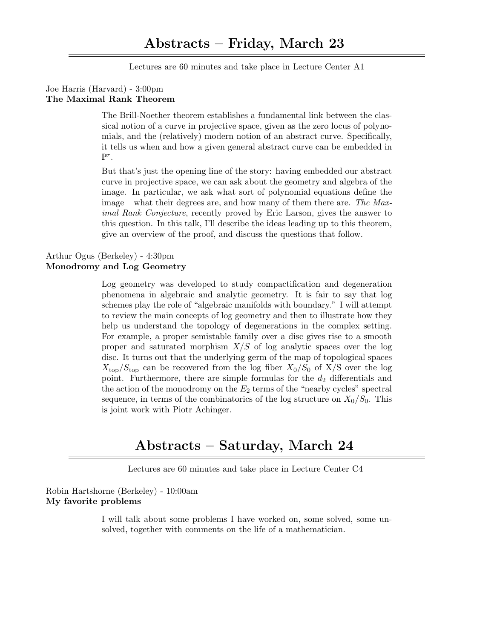Lectures are 60 minutes and take place in Lecture Center A1

### <span id="page-1-0"></span>Joe Harris (Harvard) - 3:00pm The Maximal Rank Theorem

The Brill-Noether theorem establishes a fundamental link between the classical notion of a curve in projective space, given as the zero locus of polynomials, and the (relatively) modern notion of an abstract curve. Specifically, it tells us when and how a given general abstract curve can be embedded in  $\mathbb{P}^r$ .

But that's just the opening line of the story: having embedded our abstract curve in projective space, we can ask about the geometry and algebra of the image. In particular, we ask what sort of polynomial equations define the image – what their degrees are, and how many of them there are. The Maximal Rank Conjecture, recently proved by Eric Larson, gives the answer to this question. In this talk, I'll describe the ideas leading up to this theorem, give an overview of the proof, and discuss the questions that follow.

### <span id="page-1-1"></span>Arthur Ogus (Berkeley) - 4:30pm Monodromy and Log Geometry

Log geometry was developed to study compactification and degeneration phenomena in algebraic and analytic geometry. It is fair to say that log schemes play the role of "algebraic manifolds with boundary." I will attempt to review the main concepts of log geometry and then to illustrate how they help us understand the topology of degenerations in the complex setting. For example, a proper semistable family over a disc gives rise to a smooth proper and saturated morphism  $X/S$  of log analytic spaces over the log disc. It turns out that the underlying germ of the map of topological spaces  $X_{\text{top}}/S_{\text{top}}$  can be recovered from the log fiber  $X_0/S_0$  of  $X/S$  over the log point. Furthermore, there are simple formulas for the  $d_2$  differentials and the action of the monodromy on the  $E_2$  terms of the "nearby cycles" spectral sequence, in terms of the combinatorics of the log structure on  $X_0/S_0$ . This is joint work with Piotr Achinger.

# Abstracts – Saturday, March 24

Lectures are 60 minutes and take place in Lecture Center C4

<span id="page-1-2"></span>Robin Hartshorne (Berkeley) - 10:00am My favorite problems

> I will talk about some problems I have worked on, some solved, some unsolved, together with comments on the life of a mathematician.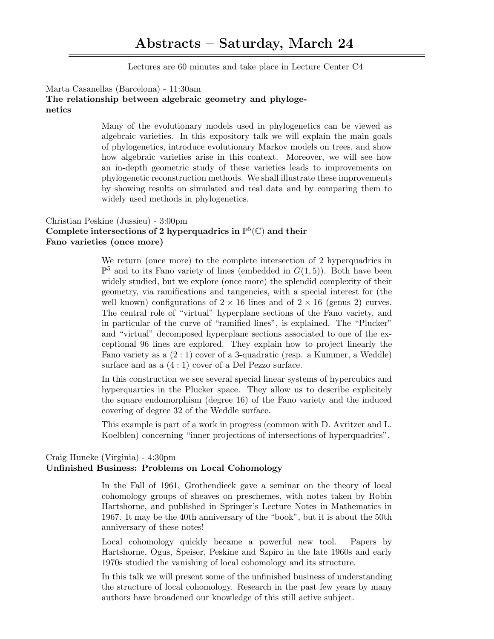Lectures are 60 minutes and take place in Lecture Center C4

### <span id="page-2-0"></span>Marta Casanellas (Barcelona) - 11:30am The relationship between algebraic geometry and phylogenetics

Many of the evolutionary models used in phylogenetics can be viewed as algebraic varieties. In this expository talk we will explain the main goals of phylogenetics, introduce evolutionary Markov models on trees, and show how algebraic varieties arise in this context. Moreover, we will see how an in-depth geometric study of these varieties leads to improvements on phylogenetic reconstruction methods. We shall illustrate these improvements by showing results on simulated and real data and by comparing them to widely used methods in phylogenetics.

# <span id="page-2-1"></span>Christian Peskine (Jussieu) - 3:00pm Complete intersections of 2 hyperquadrics in  $\mathbb{P}^5(\mathbb{C})$  and their Fano varieties (once more)

We return (once more) to the complete intersection of 2 hyperquadrics in  $\mathbb{P}^5$  and to its Fano variety of lines (embedded in  $G(1,5)$ ). Both have been widely studied, but we explore (once more) the splendid complexity of their geometry, via ramifications and tangencies, with a special interest for (the well known) configurations of  $2 \times 16$  lines and of  $2 \times 16$  (genus 2) curves. The central role of "virtual" hyperplane sections of the Fano variety, and in particular of the curve of "ramified lines", is explained. The "Plucker" and "virtual" decomposed hyperplane sections associated to one of the exceptional 96 lines are explored. They explain how to project linearly the Fano variety as a (2 : 1) cover of a 3-quadratic (resp. a Kummer, a Weddle) surface and as a  $(4:1)$  cover of a Del Pezzo surface.

In this construction we see several special linear systems of hypercubics and hyperquartics in the Plucker space. They allow us to describe explicitely the square endomorphism (degree 16) of the Fano variety and the induced covering of degree 32 of the Weddle surface.

This example is part of a work in progress (common with D. Avritzer and L. Koelblen) concerning "inner projections of intersections of hyperquadrics".

### <span id="page-2-2"></span>Craig Huneke (Virginia) - 4:30pm Unfinished Business: Problems on Local Cohomology

In the Fall of 1961, Grothendieck gave a seminar on the theory of local cohomology groups of sheaves on preschemes, with notes taken by Robin Hartshorne, and published in Springer's Lecture Notes in Mathematics in 1967. It may be the 40th anniversary of the "book", but it is about the 50th anniversary of these notes!

Local cohomology quickly became a powerful new tool. Papers by Hartshorne, Ogus, Speiser, Peskine and Szpiro in the late 1960s and early 1970s studied the vanishing of local cohomology and its structure.

In this talk we will present some of the unfinished business of understanding the structure of local cohomology. Research in the past few years by many authors have broadened our knowledge of this still active subject.